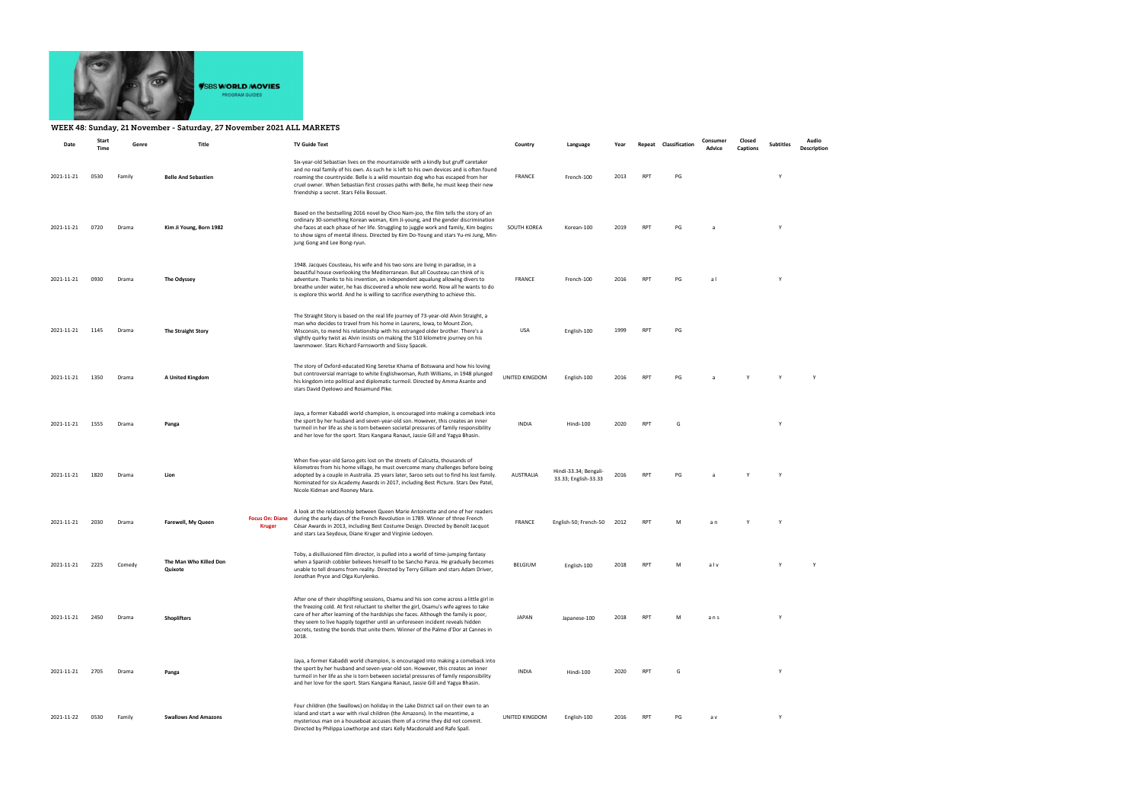

## WEEK 48: Sunday, 21 November - Saturday, 27 November 2021 ALL MARKETS

| Date       | Start<br>Time | Genre  | Title                             |                                         | <b>TV Guide Text</b>                                                                                                                                                                                                                                                                                                                                                                                                                                      | Country          | Language                                      | Year |            | Repeat Classification | Consumer<br>Advice | Closed<br>Captions | <b>Subtitles</b> | Audio<br>Description |
|------------|---------------|--------|-----------------------------------|-----------------------------------------|-----------------------------------------------------------------------------------------------------------------------------------------------------------------------------------------------------------------------------------------------------------------------------------------------------------------------------------------------------------------------------------------------------------------------------------------------------------|------------------|-----------------------------------------------|------|------------|-----------------------|--------------------|--------------------|------------------|----------------------|
| 2021-11-21 | 0530          | Family | <b>Belle And Sebastien</b>        |                                         | Six-year-old Sebastian lives on the mountainside with a kindly but gruff caretaker<br>and no real family of his own. As such he is left to his own devices and is often found<br>roaming the countryside. Belle is a wild mountain dog who has escaped from her<br>cruel owner. When Sebastian first crosses paths with Belle, he must keep their new<br>friendship a secret. Stars Félix Bossuet.                                                        | FRANCE           | French-100                                    | 2013 | <b>RPT</b> | PG                    |                    |                    | Y                |                      |
| 2021-11-21 | 0720          | Drama  | Kim Ji Young, Born 1982           |                                         | Based on the bestselling 2016 novel by Choo Nam-joo, the film tells the story of an<br>ordinary 30-something Korean woman, Kim Ji-young, and the gender discrimination<br>she faces at each phase of her life. Struggling to juggle work and family, Kim begins<br>to show signs of mental illness. Directed by Kim Do-Young and stars Yu-mi Jung, Min-<br>jung Gong and Lee Bong-ryun.                                                                   | SOUTH KOREA      | Korean-100                                    | 2019 | RPT        | PG                    |                    |                    | Y                |                      |
| 2021-11-21 | 0930          | Drama  | The Odyssey                       |                                         | 1948. Jacques Cousteau, his wife and his two sons are living in paradise, in a<br>beautiful house overlooking the Mediterranean. But all Cousteau can think of is<br>adventure. Thanks to his invention, an independent aqualung allowing divers to<br>breathe under water, he has discovered a whole new world. Now all he wants to do<br>is explore this world. And he is willing to sacrifice everything to achieve this.                              | FRANCE           | French-100                                    | 2016 | RPT        | PG                    | a l                |                    | Y                |                      |
| 2021-11-21 | 1145          | Drama  | <b>The Straight Story</b>         |                                         | The Straight Story is based on the real life journey of 73-year-old Alvin Straight, a<br>man who decides to travel from his home in Laurens, Iowa, to Mount Zion,<br>Wisconsin, to mend his relationship with his estranged older brother. There's a<br>slightly quirky twist as Alvin insists on making the 510 kilometre journey on his<br>lawnmower. Stars Richard Farnsworth and Sissy Spacek.                                                        | USA              | English-100                                   | 1999 | RPT        | PG                    |                    |                    |                  |                      |
| 2021-11-21 | 1350          | Drama  | A United Kingdom                  |                                         | The story of Oxford-educated King Seretse Khama of Botswana and how his loving<br>but controversial marriage to white Englishwoman, Ruth Williams, in 1948 plunged<br>his kingdom into political and diplomatic turmoil. Directed by Amma Asante and<br>stars David Oyelowo and Rosamund Pike.                                                                                                                                                            | UNITED KINGDOM   | English-100                                   | 2016 | <b>RPT</b> | PG                    |                    |                    |                  |                      |
| 2021-11-21 | 1555          | Drama  | Panga                             |                                         | Jaya, a former Kabaddi world champion, is encouraged into making a comeback into<br>the sport by her husband and seven-year-old son. However, this creates an inner<br>turmoil in her life as she is torn between societal pressures of family responsibility<br>and her love for the sport. Stars Kangana Ranaut, Jassie Gill and Yagya Bhasin.                                                                                                          | <b>INDIA</b>     | Hindi-100                                     | 2020 | <b>RPT</b> | G                     |                    |                    | Y                |                      |
| 2021-11-21 | 1820          | Drama  | Lion                              |                                         | When five-year-old Saroo gets lost on the streets of Calcutta, thousands of<br>kilometres from his home village, he must overcome many challenges before being<br>adopted by a couple in Australia. 25 years later, Saroo sets out to find his lost family.<br>Nominated for six Academy Awards in 2017, including Best Picture. Stars Dev Patel,<br>Nicole Kidman and Rooney Mara.                                                                       | <b>AUSTRALIA</b> | Hindi-33.34; Bengali-<br>33.33; English-33.33 | 2016 | <b>RPT</b> | PG                    |                    |                    |                  |                      |
| 2021-11-21 | 2030          | Drama  | Farewell, My Queen                | <b>Focus On: Diane</b><br><b>Kruger</b> | A look at the relationship between Queen Marie Antoinette and one of her readers<br>during the early days of the French Revolution in 1789. Winner of three French<br>César Awards in 2013, including Best Costume Design. Directed by Benoît Jacquot<br>and stars Lea Seydoux, Diane Kruger and Virginie Ledoyen.                                                                                                                                        | FRANCE           | English-50; French-50                         | 2012 | <b>RPT</b> | M                     | a n                |                    | Y                |                      |
| 2021-11-21 | 2225          | Comedy | The Man Who Killed Don<br>Quixote |                                         | Toby, a disillusioned film director, is pulled into a world of time-jumping fantasy<br>when a Spanish cobbler believes himself to be Sancho Panza. He gradually becomes<br>unable to tell dreams from reality. Directed by Terry Gilliam and stars Adam Driver,<br>Jonathan Pryce and Olga Kurylenko.                                                                                                                                                     | BELGIUM          | English-100                                   | 2018 | <b>RPT</b> | M                     | alv                |                    | Y                | Y                    |
| 2021-11-21 | 2450          | Drama  | <b>Shoplifters</b>                |                                         | After one of their shoplifting sessions, Osamu and his son come across a little girl in<br>the freezing cold. At first reluctant to shelter the girl, Osamu's wife agrees to take<br>care of her after learning of the hardships she faces. Although the family is poor,<br>they seem to live happily together until an unforeseen incident reveals hidden<br>secrets, testing the bonds that unite them. Winner of the Palme d'Dor at Cannes in<br>2018. | <b>JAPAN</b>     | Japanese-100                                  | 2018 | <b>RPT</b> | M                     | ans                |                    | Y                |                      |
| 2021-11-21 | 2705          | Drama  | Panga                             |                                         | Jaya, a former Kabaddi world champion, is encouraged into making a comeback into<br>the sport by her husband and seven-year-old son. However, this creates an inner<br>turmoil in her life as she is torn between societal pressures of family responsibility<br>and her love for the sport. Stars Kangana Ranaut, Jassie Gill and Yagya Bhasin.                                                                                                          | <b>INDIA</b>     | Hindi-100                                     | 2020 | <b>RPT</b> | G                     |                    |                    | Y                |                      |
| 2021-11-22 | 0530          | Family | <b>Swallows And Amazons</b>       |                                         | Four children (the Swallows) on holiday in the Lake District sail on their own to an<br>island and start a war with rival children (the Amazons). In the meantime, a<br>mysterious man on a houseboat accuses them of a crime they did not commit.<br>Directed by Philippa Lowthorpe and stars Kelly Macdonald and Rafe Spall.                                                                                                                            | UNITED KINGDOM   | English-100                                   | 2016 | <b>RPT</b> | PG                    | a v                |                    | Y                |                      |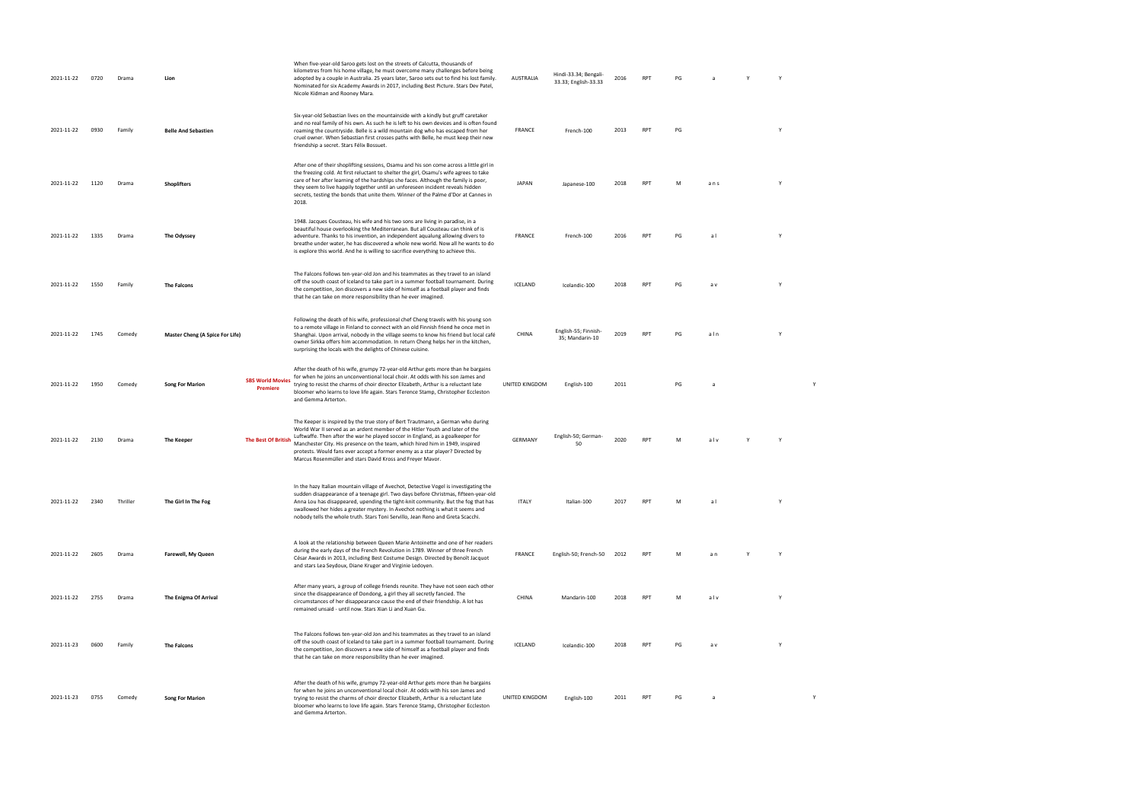| 2021-11-22 | 0720 | Drama    | Lion                            |                                     | When five-year-old Saroo gets lost on the streets of Calcutta, thousands of<br>kilometres from his home village, he must overcome many challenges before being<br>adopted by a couple in Australia. 25 years later, Saroo sets out to find his lost family.<br>Nominated for six Academy Awards in 2017, including Best Picture. Stars Dev Patel,<br>Nicole Kidman and Rooney Mara.                                                                                              | <b>AUSTRALIA</b> | Hindi-33.34; Bengali-<br>33.33; English-33.33 | 2016 | <b>RPT</b> | PG |     | Y | Y |   |  |  |
|------------|------|----------|---------------------------------|-------------------------------------|----------------------------------------------------------------------------------------------------------------------------------------------------------------------------------------------------------------------------------------------------------------------------------------------------------------------------------------------------------------------------------------------------------------------------------------------------------------------------------|------------------|-----------------------------------------------|------|------------|----|-----|---|---|---|--|--|
| 2021-11-22 | 0930 | Family   | <b>Belle And Sebastien</b>      |                                     | Six-year-old Sebastian lives on the mountainside with a kindly but gruff caretaker<br>and no real family of his own. As such he is left to his own devices and is often found<br>roaming the countryside. Belle is a wild mountain dog who has escaped from her<br>cruel owner. When Sebastian first crosses paths with Belle, he must keep their new<br>friendship a secret. Stars Félix Bossuet.                                                                               | FRANCE           | French-100                                    | 2013 | <b>RPT</b> | PG |     |   |   |   |  |  |
| 2021-11-22 | 1120 | Drama    | <b>Shoplifters</b>              |                                     | After one of their shoplifting sessions, Osamu and his son come across a little girl in<br>the freezing cold. At first reluctant to shelter the girl, Osamu's wife agrees to take<br>care of her after learning of the hardships she faces. Although the family is poor,<br>they seem to live happily together until an unforeseen incident reveals hidden<br>secrets, testing the bonds that unite them. Winner of the Palme d'Dor at Cannes in<br>2018.                        | JAPAN            | Japanese-100                                  | 2018 | <b>RPT</b> | M  | ans |   |   |   |  |  |
| 2021-11-22 | 1335 | Drama    | The Odyssey                     |                                     | 1948. Jacques Cousteau, his wife and his two sons are living in paradise, in a<br>beautiful house overlooking the Mediterranean. But all Cousteau can think of is<br>adventure. Thanks to his invention, an independent aqualung allowing divers to<br>breathe under water, he has discovered a whole new world. Now all he wants to do<br>is explore this world. And he is willing to sacrifice everything to achieve this.                                                     | FRANCE           | French-100                                    | 2016 | <b>RPT</b> | PG | al  |   |   |   |  |  |
| 2021-11-22 | 1550 | Family   | <b>The Falcons</b>              |                                     | The Falcons follows ten-year-old Jon and his teammates as they travel to an island<br>off the south coast of Iceland to take part in a summer football tournament. During<br>the competition, Jon discovers a new side of himself as a football player and finds<br>that he can take on more responsibility than he ever imagined.                                                                                                                                               | ICELAND          | Icelandic-100                                 | 2018 | <b>RPT</b> | PG | a v |   |   |   |  |  |
| 2021-11-22 | 1745 | Comedy   | Master Cheng (A Spice For Life) |                                     | Following the death of his wife, professional chef Cheng travels with his young son<br>to a remote village in Finland to connect with an old Finnish friend he once met in<br>Shanghai. Upon arrival, nobody in the village seems to know his friend but local café<br>owner Sirkka offers him accommodation. In return Cheng helps her in the kitchen,<br>surprising the locals with the delights of Chinese cuisine.                                                           | CHINA            | English-55; Finnish-<br>35; Mandarin-10       | 2019 | <b>RPT</b> | PG | aln |   |   |   |  |  |
| 2021-11-22 | 1950 | Comedy   | <b>Song For Marion</b>          | <b>SBS World Movies</b><br>Premiere | After the death of his wife, grumpy 72-year-old Arthur gets more than he bargains<br>for when he joins an unconventional local choir. At odds with his son James and<br>trying to resist the charms of choir director Elizabeth, Arthur is a reluctant late<br>bloomer who learns to love life again. Stars Terence Stamp, Christopher Eccleston<br>and Gemma Arterton.                                                                                                          | UNITED KINGDOM   | English-100                                   | 2011 |            | PG |     |   |   |   |  |  |
| 2021-11-22 | 2130 | Drama    | The Keeper                      | <b>The Best Of British</b>          | The Keeper is inspired by the true story of Bert Trautmann, a German who during<br>World War II served as an ardent member of the Hitler Youth and later of the<br>Luftwaffe. Then after the war he played soccer in England, as a goalkeeper for<br>Manchester City. His presence on the team, which hired him in 1949, inspired<br>protests. Would fans ever accept a former enemy as a star player? Directed by<br>Marcus Rosenmüller and stars David Kross and Freyer Mavor. | GERMANY          | English-50; German-<br>50                     | 2020 | <b>RPT</b> |    | alv |   |   |   |  |  |
| 2021-11-22 | 2340 | Thriller | The Girl In The Fog             |                                     | In the hazy Italian mountain village of Avechot, Detective Vogel is investigating the<br>sudden disappearance of a teenage girl. Two days before Christmas, fifteen-year-old<br>Anna Lou has disappeared, upending the tight-knit community. But the fog that has<br>swallowed her hides a greater mystery. In Avechot nothing is what it seems and<br>nobody tells the whole truth. Stars Toni Servillo, Jean Reno and Greta Scacchi.                                           | ITALY            | Italian-100                                   |      |            |    |     |   |   |   |  |  |
| 2021-11-22 | 2605 | Drama    | <b>Farewell, My Queen</b>       |                                     | A look at the relationship between Queen Marie Antoinette and one of her readers<br>during the early days of the French Revolution in 1789. Winner of three French<br>César Awards in 2013, including Best Costume Design. Directed by Benoît Jacquot<br>and stars Lea Seydoux, Diane Kruger and Virginie Ledoyen.                                                                                                                                                               | FRANCE           | English-50; French-50                         | 2012 | RPT        | M  | a n | Y |   |   |  |  |
| 2021-11-22 | 2755 | Drama    | The Enigma Of Arrival           |                                     | After many years, a group of college friends reunite. They have not seen each other<br>since the disappearance of Dondong, a girl they all secretly fancied. The<br>circumstances of her disappearance cause the end of their friendship. A lot has<br>remained unsaid - until now. Stars Xian Li and Xuan Gu.                                                                                                                                                                   | CHINA            | Mandarin-100                                  | 2018 | <b>RPT</b> | M  | alv |   |   |   |  |  |
| 2021-11-23 | 0600 | Family   | <b>The Falcons</b>              |                                     | The Falcons follows ten-year-old Jon and his teammates as they travel to an island<br>off the south coast of Iceland to take part in a summer football tournament. During<br>the competition, Jon discovers a new side of himself as a football player and finds<br>that he can take on more responsibility than he ever imagined.                                                                                                                                               | ICELAND          | Icelandic-100                                 | 2018 | <b>RPT</b> | PG | a v |   |   |   |  |  |
| 2021-11-23 | 0755 | Comedy   | <b>Song For Marion</b>          |                                     | After the death of his wife, grumpy 72-year-old Arthur gets more than he bargains<br>for when he joins an unconventional local choir. At odds with his son James and<br>trying to resist the charms of choir director Elizabeth, Arthur is a reluctant late<br>bloomer who learns to love life again. Stars Terence Stamp, Christopher Eccleston<br>and Gemma Arterton.                                                                                                          | UNITED KINGDOM   | English-100                                   | 2011 | <b>RPT</b> | PG | a   |   |   | Y |  |  |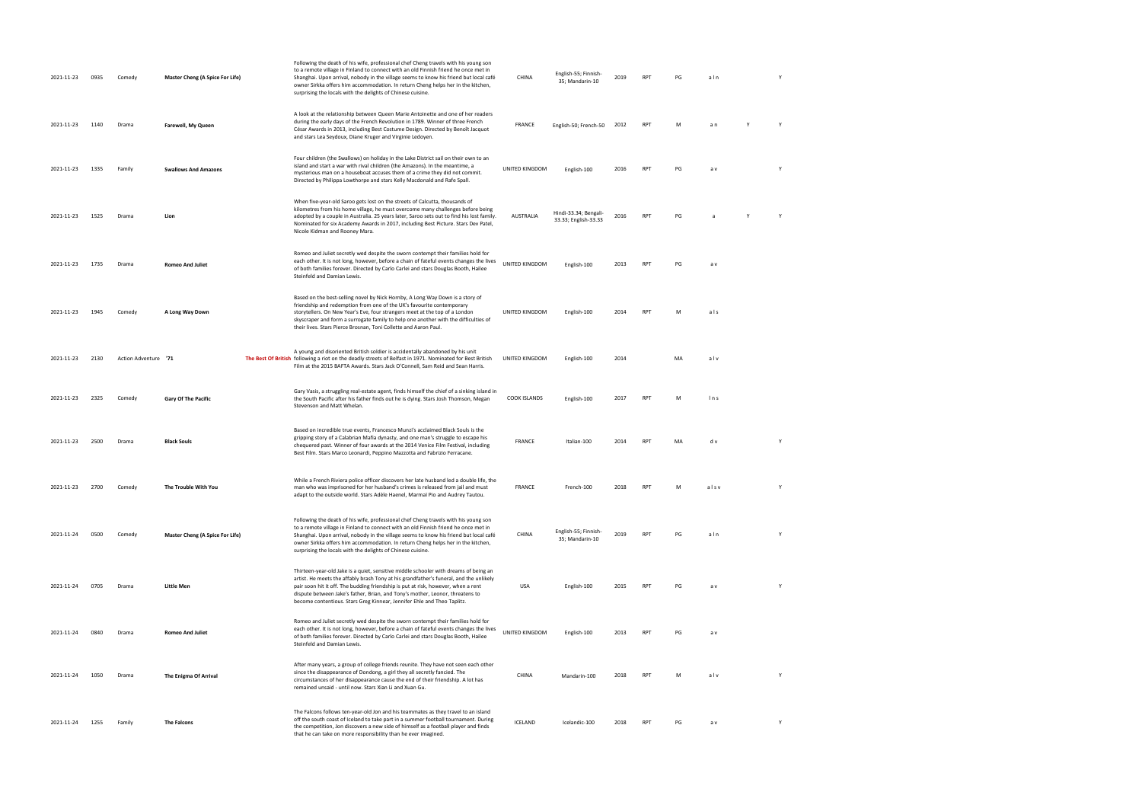| 2021-11-23 | 0935 | Comedy               | Master Cheng (A Spice For Life) | Following the death of his wife, professional chef Cheng travels with his young son<br>to a remote village in Finland to connect with an old Finnish friend he once met in<br>Shanghai. Upon arrival, nobody in the village seems to know his friend but local café<br>owner Sirkka offers him accommodation. In return Cheng helps her in the kitchen,<br>surprising the locals with the delights of Chinese cuisine.          | CHINA          | English-55; Finnish-<br>35; Mandarin-10       | 2019 | <b>RPT</b> | PG | aln  | Y |
|------------|------|----------------------|---------------------------------|---------------------------------------------------------------------------------------------------------------------------------------------------------------------------------------------------------------------------------------------------------------------------------------------------------------------------------------------------------------------------------------------------------------------------------|----------------|-----------------------------------------------|------|------------|----|------|---|
| 2021-11-23 | 1140 | Drama                | Farewell, My Queen              | A look at the relationship between Queen Marie Antoinette and one of her readers<br>during the early days of the French Revolution in 1789. Winner of three French<br>César Awards in 2013, including Best Costume Design. Directed by Benoît Jacquot<br>and stars Lea Seydoux, Diane Kruger and Virginie Ledoyen.                                                                                                              | FRANCE         | English-50; French-50                         | 2012 | RPT        | M  | a n  | Y |
| 2021-11-23 | 1335 | Family               | <b>Swallows And Amazons</b>     | Four children (the Swallows) on holiday in the Lake District sail on their own to an<br>island and start a war with rival children (the Amazons). In the meantime, a<br>mysterious man on a houseboat accuses them of a crime they did not commit.<br>Directed by Philippa Lowthorpe and stars Kelly Macdonald and Rafe Spall.                                                                                                  | UNITED KINGDOM | English-100                                   | 2016 | RPT        | PG | a v  | Y |
| 2021-11-23 | 1525 | Drama                | Lion                            | When five-year-old Saroo gets lost on the streets of Calcutta, thousands of<br>kilometres from his home village, he must overcome many challenges before being<br>adopted by a couple in Australia. 25 years later, Saroo sets out to find his lost family.<br>Nominated for six Academy Awards in 2017, including Best Picture. Stars Dev Patel,<br>Nicole Kidman and Rooney Mara.                                             | AUSTRALIA      | Hindi-33.34; Bengali-<br>33.33; English-33.33 | 2016 | <b>RPT</b> | PG |      |   |
| 2021-11-23 | 1735 | Drama                | <b>Romeo And Juliet</b>         | Romeo and Juliet secretly wed despite the sworn contempt their families hold for<br>each other. It is not long, however, before a chain of fateful events changes the lives<br>of both families forever. Directed by Carlo Carlei and stars Douglas Booth, Hailee<br>Steinfeld and Damian Lewis.                                                                                                                                | UNITED KINGDOM | English-100                                   | 2013 | <b>RPT</b> | PG | a v  |   |
| 2021-11-23 | 1945 | Comedy               | A Long Way Down                 | Based on the best-selling novel by Nick Hornby, A Long Way Down is a story of<br>friendship and redemption from one of the UK's favourite contemporary<br>storytellers. On New Year's Eve, four strangers meet at the top of a London<br>skyscraper and form a surrogate family to help one another with the difficulties of<br>their lives. Stars Pierce Brosnan, Toni Collette and Aaron Paul.                                | UNITED KINGDOM | English-100                                   | 2014 | <b>RPT</b> | M  | als  |   |
| 2021-11-23 | 2130 | Action Adventure '71 |                                 | A young and disoriented British soldier is accidentally abandoned by his unit<br>The Best Of British following a riot on the deadly streets of Belfast in 1971. Nominated for Best British<br>Film at the 2015 BAFTA Awards. Stars Jack O'Connell, Sam Reid and Sean Harris.                                                                                                                                                    | UNITED KINGDOM | English-100                                   | 2014 |            | MA | alv  |   |
| 2021-11-23 | 2325 | Comedy               | Gary Of The Pacific             | Gary Vasis, a struggling real-estate agent, finds himself the chief of a sinking island in<br>the South Pacific after his father finds out he is dying. Stars Josh Thomson, Megan<br>Stevenson and Matt Whelan.                                                                                                                                                                                                                 | COOK ISLANDS   | English-100                                   | 2017 | <b>RPT</b> | M  | ln s |   |
| 2021-11-23 | 2500 | Drama                | <b>Black Souls</b>              | Based on incredible true events, Francesco Munzi's acclaimed Black Souls is the<br>gripping story of a Calabrian Mafia dynasty, and one man's struggle to escape his<br>chequered past. Winner of four awards at the 2014 Venice Film Festival, including<br>Best Film. Stars Marco Leonardi, Peppino Mazzotta and Fabrizio Ferracane.                                                                                          | FRANCE         | Italian-100                                   | 2014 | <b>RPT</b> | MA | d v  |   |
| 2021-11-23 | 2700 | Comedy               | The Trouble With You            | While a French Riviera police officer discovers her late husband led a double life, the<br>man who was imprisoned for her husband's crimes is released from jail and must<br>adapt to the outside world. Stars Adèle Haenel, Marmaï Pio and Audrey Tautou.                                                                                                                                                                      | FRANCE         | French-100                                    | 2018 | <b>RPT</b> | м  | alsv |   |
| 2021-11-24 | 0500 | Comedy               | Master Cheng (A Spice For Life) | Following the death of his wife, professional chef Cheng travels with his young son<br>to a remote village in Finland to connect with an old Finnish friend he once met in<br>Shanghai. Upon arrival, nobody in the village seems to know his friend but local café<br>owner Sirkka offers him accommodation. In return Cheng helps her in the kitchen,<br>surprising the locals with the delights of Chinese cuisine.          | CHINA          | English-55; Finnish-<br>35; Mandarin-10       | 2019 | <b>RPT</b> | PG | aln  | Y |
| 2021-11-24 | 0705 | Drama                | <b>Little Men</b>               | Thirteen-year-old Jake is a quiet, sensitive middle schooler with dreams of being an<br>artist. He meets the affably brash Tony at his grandfather's funeral, and the unlikely<br>pair soon hit it off. The budding friendship is put at risk, however, when a rent<br>dispute between Jake's father, Brian, and Tony's mother, Leonor, threatens to<br>become contentious. Stars Greg Kinnear, Jennifer Ehle and Theo Taplitz. | USA            | English-100                                   | 2015 | <b>RPT</b> | PG | a v  |   |
| 2021-11-24 | 0840 | Drama                | <b>Romeo And Juliet</b>         | Romeo and Juliet secretly wed despite the sworn contempt their families hold for<br>each other. It is not long, however, before a chain of fateful events changes the lives<br>of both families forever. Directed by Carlo Carlei and stars Douglas Booth, Hailee<br>Steinfeld and Damian Lewis.                                                                                                                                | UNITED KINGDOM | English-100                                   | 2013 | <b>RPT</b> | PG | a v  |   |
| 2021-11-24 | 1050 | Drama                | The Enigma Of Arrival           | After many years, a group of college friends reunite. They have not seen each other<br>since the disappearance of Dondong, a girl they all secretly fancied. The<br>circumstances of her disappearance cause the end of their friendship. A lot has<br>remained unsaid - until now. Stars Xian Li and Xuan Gu.                                                                                                                  | CHINA          | Mandarin-100                                  | 2018 | <b>RPT</b> | M  | alv  | Y |
| 2021-11-24 | 1255 | Family               | The Falcons                     | The Falcons follows ten-year-old Jon and his teammates as they travel to an island<br>off the south coast of Iceland to take part in a summer football tournament. During<br>the competition, Jon discovers a new side of himself as a football player and finds<br>that he can take on more responsibility than he ever imagined.                                                                                              | ICELAND        | Icelandic-100                                 | 2018 | <b>RPT</b> | PG | a v  | Y |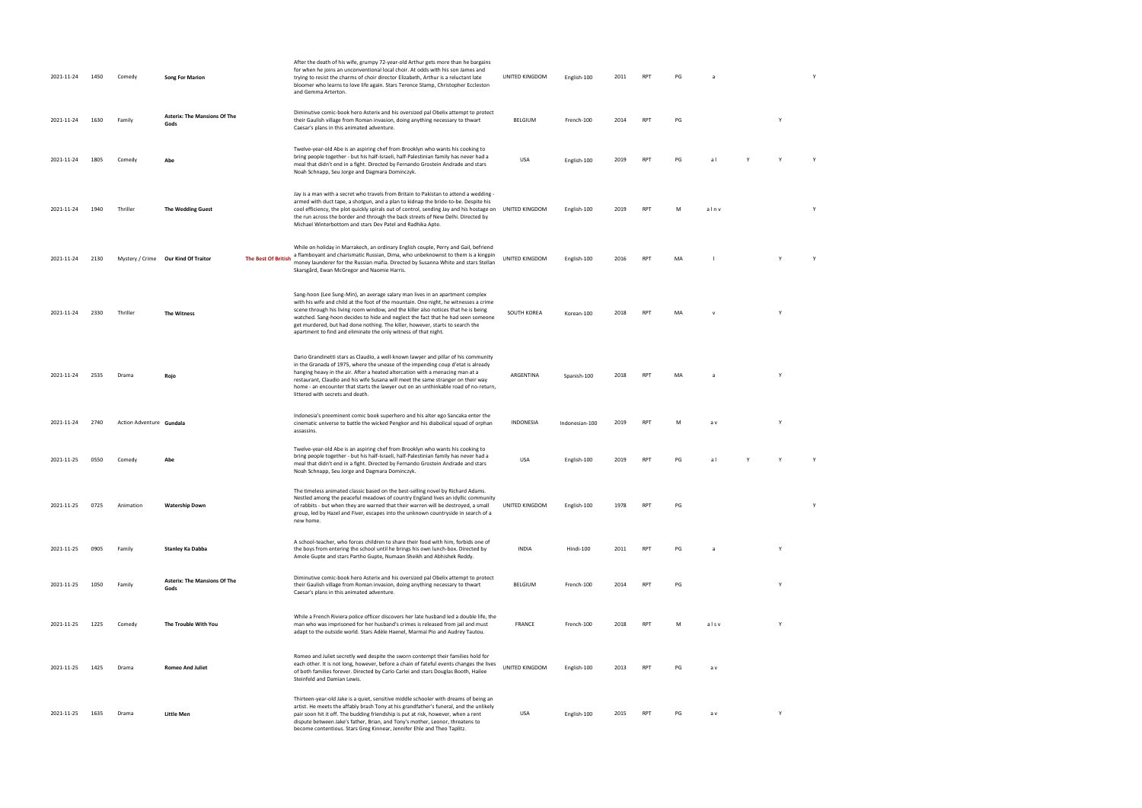| 2021-11-24 | 1450 | Comedy                   | <b>Song For Marion</b>                      |                            | After the death of his wife, grumpy 72-year-old Arthur gets more than he bargains<br>for when he joins an unconventional local choir. At odds with his son James and<br>trying to resist the charms of choir director Elizabeth, Arthur is a reluctant late<br>bloomer who learns to love life again. Stars Terence Stamp, Christopher Eccleston<br>and Gemma Arterton.                                                                                                                             | UNITED KINGDOM     | English-100    | 2011 | <b>RPT</b> | PG | a              |   | Y |
|------------|------|--------------------------|---------------------------------------------|----------------------------|-----------------------------------------------------------------------------------------------------------------------------------------------------------------------------------------------------------------------------------------------------------------------------------------------------------------------------------------------------------------------------------------------------------------------------------------------------------------------------------------------------|--------------------|----------------|------|------------|----|----------------|---|---|
| 2021-11-24 | 1630 | Family                   | <b>Asterix: The Mansions Of The</b><br>Gods |                            | Diminutive comic-book hero Asterix and his oversized pal Obelix attempt to protect<br>their Gaulish village from Roman invasion, doing anything necessary to thwart<br>Caesar's plans in this animated adventure.                                                                                                                                                                                                                                                                                   | BELGIUM            | French-100     | 2014 | <b>RPT</b> | PG |                | Y |   |
| 2021-11-24 | 1805 | Comedy                   | Abe                                         |                            | Twelve-year-old Abe is an aspiring chef from Brooklyn who wants his cooking to<br>bring people together - but his half-Israeli, half-Palestinian family has never had a<br>meal that didn't end in a fight. Directed by Fernando Grostein Andrade and stars<br>Noah Schnapp, Seu Jorge and Dagmara Dominczyk.                                                                                                                                                                                       | <b>USA</b>         | English-100    | 2019 | <b>RPT</b> | PG | al             |   |   |
| 2021-11-24 | 1940 | Thriller                 | <b>The Wedding Guest</b>                    |                            | Jay is a man with a secret who travels from Britain to Pakistan to attend a wedding -<br>armed with duct tape, a shotgun, and a plan to kidnap the bride-to-be. Despite his<br>cool efficiency, the plot quickly spirals out of control, sending Jay and his hostage on<br>the run across the border and through the back streets of New Delhi. Directed by<br>Michael Winterbottom and stars Dev Patel and Radhika Apte.                                                                           | UNITED KINGDOM     | English-100    | 2019 | RPT        | M  | alnv           |   |   |
| 2021-11-24 | 2130 |                          | Mystery / Crime Our Kind Of Traitor         | <b>The Best Of British</b> | While on holiday in Marrakech, an ordinary English couple, Perry and Gail, befriend<br>a flamboyant and charismatic Russian, Dima, who unbeknownst to them is a kingpin<br>money launderer for the Russian mafia. Directed by Susanna White and stars Stellan<br>Skarsgård, Ewan McGregor and Naomie Harris.                                                                                                                                                                                        | UNITED KINGDOM     | English-100    | 2016 | <b>RPT</b> | MA |                |   |   |
| 2021-11-24 | 2330 | Thriller                 | <b>The Witness</b>                          |                            | Sang-hoon (Lee Sung-Min), an average salary man lives in an apartment complex<br>with his wife and child at the foot of the mountain. One night, he witnesses a crime<br>scene through his living room window, and the killer also notices that he is being<br>watched. Sang-hoon decides to hide and neglect the fact that he had seen someone<br>get murdered, but had done nothing. The killer, however, starts to search the<br>apartment to find and eliminate the only witness of that night. | <b>SOUTH KOREA</b> | Korean-100     | 2018 | <b>RPT</b> | MA | $\mathsf{v}$   |   |   |
| 2021-11-24 | 2535 | Drama                    | Rojo                                        |                            | Dario Grandinetti stars as Claudio, a well-known lawyer and pillar of his community<br>in the Granada of 1975, where the unease of the impending coup d'etat is already<br>hanging heavy in the air. After a heated altercation with a menacing man at a<br>restaurant, Claudio and his wife Susana will meet the same stranger on their way<br>home - an encounter that starts the lawyer out on an unthinkable road of no-return,<br>littered with secrets and death.                             | ARGENTINA          | Spanish-100    | 2018 | <b>RPT</b> | MA | $\overline{a}$ |   |   |
| 2021-11-24 | 2740 | Action Adventure Gundala |                                             |                            | Indonesia's preeminent comic book superhero and his alter ego Sancaka enter the<br>cinematic universe to battle the wicked Pengkor and his diabolical squad of orphan<br>assassins.                                                                                                                                                                                                                                                                                                                 | INDONESIA          | Indonesian-100 | 2019 | <b>RPT</b> | M  | a v            |   |   |
| 2021-11-25 | 0550 | Comedy                   | Abe                                         |                            | Twelve-year-old Abe is an aspiring chef from Brooklyn who wants his cooking to<br>bring people together - but his half-Israeli, half-Palestinian family has never had a<br>meal that didn't end in a fight. Directed by Fernando Grostein Andrade and stars<br>Noah Schnapp, Seu Jorge and Dagmara Dominczyk.                                                                                                                                                                                       | <b>USA</b>         | English-100    | 2019 | <b>RPT</b> | PG | a l            |   |   |
| 2021-11-25 | 0725 | Animation                | <b>Watership Down</b>                       |                            | The timeless animated classic based on the best-selling novel by Richard Adams.<br>Nestled among the peaceful meadows of country England lives an idyllic community<br>of rabbits - but when they are warned that their warren will be destroyed, a small<br>group, led by Hazel and Fiver, escapes into the unknown countryside in search of a<br>new home.                                                                                                                                        | UNITED KINGDOM     | English-100    | 1978 | <b>RPT</b> | PG |                |   | N |
| 2021-11-25 | 0905 | Family                   | Stanley Ka Dabba                            |                            | A school-teacher, who forces children to share their food with him, forbids one of<br>the boys from entering the school until he brings his own lunch-box. Directed by<br>Amole Gupte and stars Partho Gupte, Numaan Sheikh and Abhishek Reddy.                                                                                                                                                                                                                                                     | INDIA              | Hindi-100      | 2011 | <b>RPT</b> | PG | a              | Y |   |
| 2021-11-25 | 1050 | Family                   | <b>Asterix: The Mansions Of The</b><br>Gods |                            | Diminutive comic-book hero Asterix and his oversized pal Obelix attempt to protect<br>their Gaulish village from Roman invasion, doing anything necessary to thwart<br>Caesar's plans in this animated adventure.                                                                                                                                                                                                                                                                                   | BELGIUM            | French-100     | 2014 | <b>RPT</b> | PG |                | Y |   |
| 2021-11-25 | 1225 | Comedy                   | The Trouble With You                        |                            | While a French Riviera police officer discovers her late husband led a double life, the<br>man who was imprisoned for her husband's crimes is released from jail and must<br>adapt to the outside world. Stars Adèle Haenel, Marmaï Pio and Audrey Tautou.                                                                                                                                                                                                                                          | FRANCE             | French-100     | 2018 | RPT        | M  | alsv           |   |   |
| 2021-11-25 | 1425 | Drama                    | <b>Romeo And Juliet</b>                     |                            | Romeo and Juliet secretly wed despite the sworn contempt their families hold for<br>each other. It is not long, however, before a chain of fateful events changes the lives<br>of both families forever. Directed by Carlo Carlei and stars Douglas Booth, Hailee<br>Steinfeld and Damian Lewis.                                                                                                                                                                                                    | UNITED KINGDOM     | English-100    | 2013 | <b>RPT</b> | PG | a v            |   |   |
| 2021-11-25 | 1635 | Drama                    | <b>Little Men</b>                           |                            | Thirteen-year-old Jake is a quiet, sensitive middle schooler with dreams of being an<br>artist. He meets the affably brash Tony at his grandfather's funeral, and the unlikely<br>pair soon hit it off. The budding friendship is put at risk, however, when a rent<br>dispute between Jake's father, Brian, and Tony's mother, Leonor, threatens to<br>become contentious. Stars Greg Kinnear, Jennifer Ehle and Theo Taplitz.                                                                     | USA                | English-100    | 2015 | <b>RPT</b> | PG | a v            | Y |   |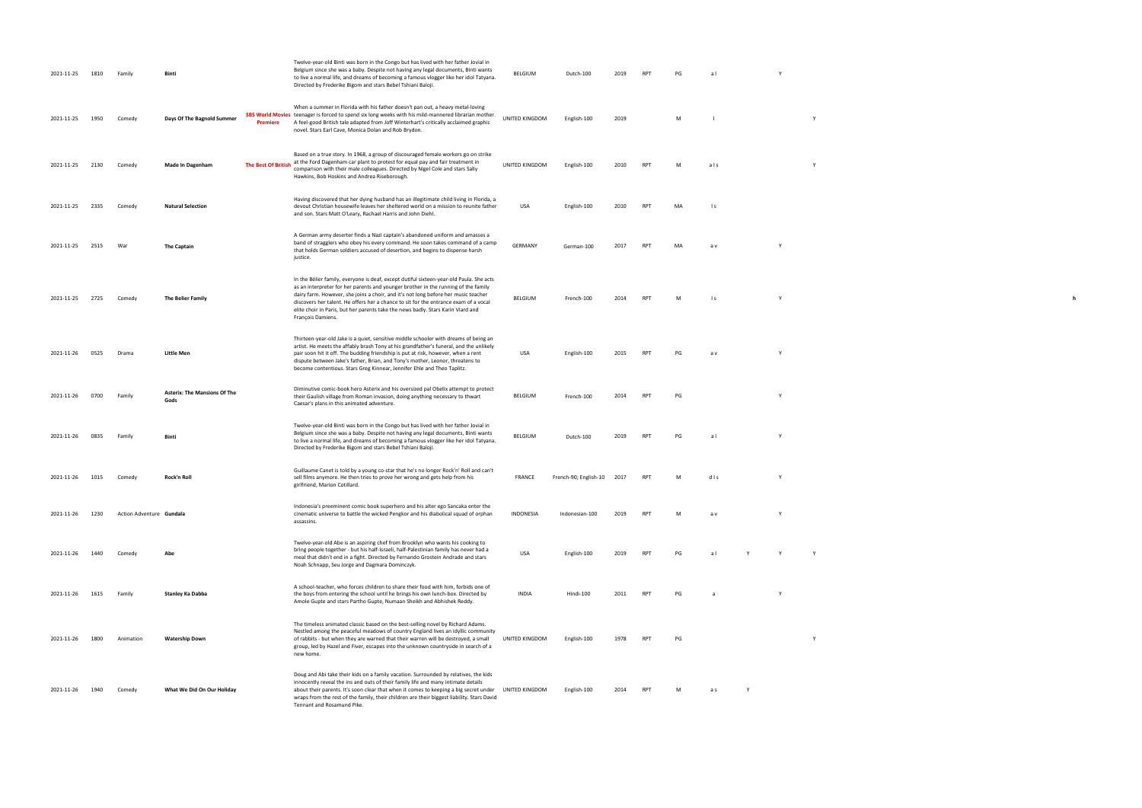| 2021-11-25 | 1810 | Famil                    | Bint                                           | Twelve-year-old Binti was born in the Congo but has lived with her father Jovial in<br>Belgium since she was a baby. Despite not having any legal documents, Binti wants<br>to live a normal life, and dreams of becoming a famous vlogger like her idol Tatyana.<br>Directed by Frederike Bigom and stars Bebel Tshiani Baloji.                                                                                                                                     | <b>BELGIUM</b>   | Dutch-100                  | 2019 | <b>RP</b>       | PG | al             |   |  |
|------------|------|--------------------------|------------------------------------------------|----------------------------------------------------------------------------------------------------------------------------------------------------------------------------------------------------------------------------------------------------------------------------------------------------------------------------------------------------------------------------------------------------------------------------------------------------------------------|------------------|----------------------------|------|-----------------|----|----------------|---|--|
| 2021-11-25 | 1950 | Comedy                   | Days Of The Bagnold Summer<br><b>Premiere</b>  | When a summer in Florida with his father doesn't pan out, a heavy metal-loving<br>SBS World Movies teenager is forced to spend six long weeks with his mild-mannered librarian mother.<br>A feel-good British tale adapted from Joff Winterhart's critically acclaimed graphic<br>novel. Stars Earl Cave, Monica Dolan and Rob Brydon.                                                                                                                               | UNITED KINGDOM   | English-100                | 2019 |                 | м  |                |   |  |
| 2021-11-25 | 2130 | Comedy                   | <b>The Best Of British</b><br>Made In Dagenham | Based on a true story. In 1968, a group of discouraged female workers go on strike<br>at the Ford Dagenham car plant to protest for equal pay and fair treatment in<br>comparison with their male colleagues. Directed by Nigel Cole and stars Sally<br>Hawkins, Bob Hoskins and Andrea Riseborough.                                                                                                                                                                 | UNITED KINGDOM   | English-100                | 2010 | <b>RPT</b>      | M  | als            |   |  |
| 2021-11-25 | 2335 | Comedy                   | <b>Natural Selection</b>                       | Having discovered that her dying husband has an illegitimate child living in Florida, a<br>devout Christian housewife leaves her sheltered world on a mission to reunite father<br>and son. Stars Matt O'Leary, Rachael Harris and John Diehl.                                                                                                                                                                                                                       | USA              | English-100                | 2010 | RPT             | MA | l s            |   |  |
| 2021-11-25 | 2515 | War                      | The Captain                                    | A German army deserter finds a Nazi captain's abandoned uniform and amasses a<br>band of stragglers who obey his every command. He soon takes command of a camp<br>that holds German soldiers accused of desertion, and begins to dispense harsh<br>justice.                                                                                                                                                                                                         | GERMANY          | German-100                 | 2017 | <b>RPT</b>      | MA | a v            |   |  |
| 2021-11-25 | 2725 | Comedy                   | The Belier Family                              | In the Bélier family, everyone is deaf, except dutiful sixteen-year-old Paula. She acts<br>as an interpreter for her parents and younger brother in the running of the family<br>dairy farm. However, she joins a choir, and it's not long before her music teacher<br>discovers her talent. He offers her a chance to sit for the entrance exam of a vocal<br>elite choir in Paris, but her parents take the news badly. Stars Karin Viard and<br>François Damiens. | BELGIUM          | French-100                 | 2014 | RP <sub>1</sub> | м  | $\mathsf{I}$ s |   |  |
| 2021-11-26 | 0525 | Drama                    | Little Men                                     | Thirteen-year-old Jake is a quiet, sensitive middle schooler with dreams of being an<br>artist. He meets the affably brash Tony at his grandfather's funeral, and the unlikely<br>pair soon hit it off. The budding friendship is put at risk, however, when a rent<br>dispute between Jake's father, Brian, and Tony's mother, Leonor, threatens to<br>become contentious. Stars Greg Kinnear, Jennifer Ehle and Theo Taplitz.                                      | USA              | English-100                | 2015 | <b>RP</b>       | PG | a v            |   |  |
| 2021-11-26 | 0700 | Family                   | <b>Asterix: The Mansions Of The</b><br>Gods    | Diminutive comic-book hero Asterix and his oversized pal Obelix attempt to protect<br>their Gaulish village from Roman invasion, doing anything necessary to thwart<br>Caesar's plans in this animated adventure.                                                                                                                                                                                                                                                    | BELGIUM          | French-100                 | 2014 | RP <sub>1</sub> | PG |                |   |  |
| 2021-11-26 | 0835 | Family                   | Binti                                          | Twelve-year-old Binti was born in the Congo but has lived with her father Jovial in<br>Belgium since she was a baby. Despite not having any legal documents, Binti wants<br>to live a normal life, and dreams of becoming a famous vlogger like her idol Tatyana.<br>Directed by Frederike Bigom and stars Bebel Tshiani Baloji.                                                                                                                                     | BELGIUM          | Dutch-100                  | 2019 | <b>RP</b>       | PG | al             |   |  |
| 2021-11-26 | 1015 | Comedy                   | Rock'n Roll                                    | Guillaume Canet is told by a young co-star that he's no longer Rock'n' Roll and can't<br>sell films anymore. He then tries to prove her wrong and gets help from his<br>girlfriend, Marion Cotillard.                                                                                                                                                                                                                                                                | FRANCE           | French-90; English-10 2017 |      | RPT             | M  | dis            | Y |  |
| 2021-11-26 | 1230 | Action Adventure Gundala |                                                | Indonesia's preeminent comic book superhero and his alter ego Sancaka enter the<br>cinematic universe to battle the wicked Pengkor and his diabolical squad of orphan<br>assassins.                                                                                                                                                                                                                                                                                  | <b>INDONESIA</b> | Indonesian-100             | 2019 | RP1             | м  | a v            |   |  |
| 2021-11-26 | 1440 | Comed                    | Ahe                                            | Twelve-year-old Abe is an aspiring chef from Brooklyn who wants his cooking to<br>bring people together - but his half-Israeli, half-Palestinian family has never had a<br>meal that didn't end in a fight. Directed by Fernando Grostein Andrade and stars<br>Noah Schnapp, Seu Jorge and Dagmara Dominczyk.                                                                                                                                                        | USA              | English-100                | 2019 | <b>RPT</b>      | PG | al             |   |  |
| 2021-11-26 | 1615 | Family                   | Stanley Ka Dabba                               | A school-teacher, who forces children to share their food with him, forbids one of<br>the boys from entering the school until he brings his own lunch-box. Directed by<br>Amole Gupte and stars Partho Gupte, Numaan Sheikh and Abhishek Reddy.                                                                                                                                                                                                                      | INDIA            | Hindi-100                  | 2011 | <b>RPT</b>      | PG |                |   |  |
| 2021-11-26 | 1800 | Animation                | <b>Watership Down</b>                          | The timeless animated classic based on the best-selling novel by Richard Adams.<br>Nestled among the peaceful meadows of country England lives an idyllic community<br>of rabbits - but when they are warned that their warren will be destroyed, a small<br>group, led by Hazel and Fiver, escapes into the unknown countryside in search of a<br>new home.                                                                                                         | UNITED KINGDOM   | English-100                | 1978 | RPT             | PG |                |   |  |
| 2021-11-26 | 1940 | Comedy                   | What We Did On Our Holiday                     | Doug and Abi take their kids on a family vacation. Surrounded by relatives, the kids<br>innocently reveal the ins and outs of their family life and many intimate details<br>about their parents. It's soon clear that when it comes to keeping a big secret under<br>wraps from the rest of the family, their children are their biggest liability. Stars David<br>Tennant and Rosamund Pike.                                                                       | UNITED KINGDOM   | English-100                | 2014 | RPT             | м  | a s            |   |  |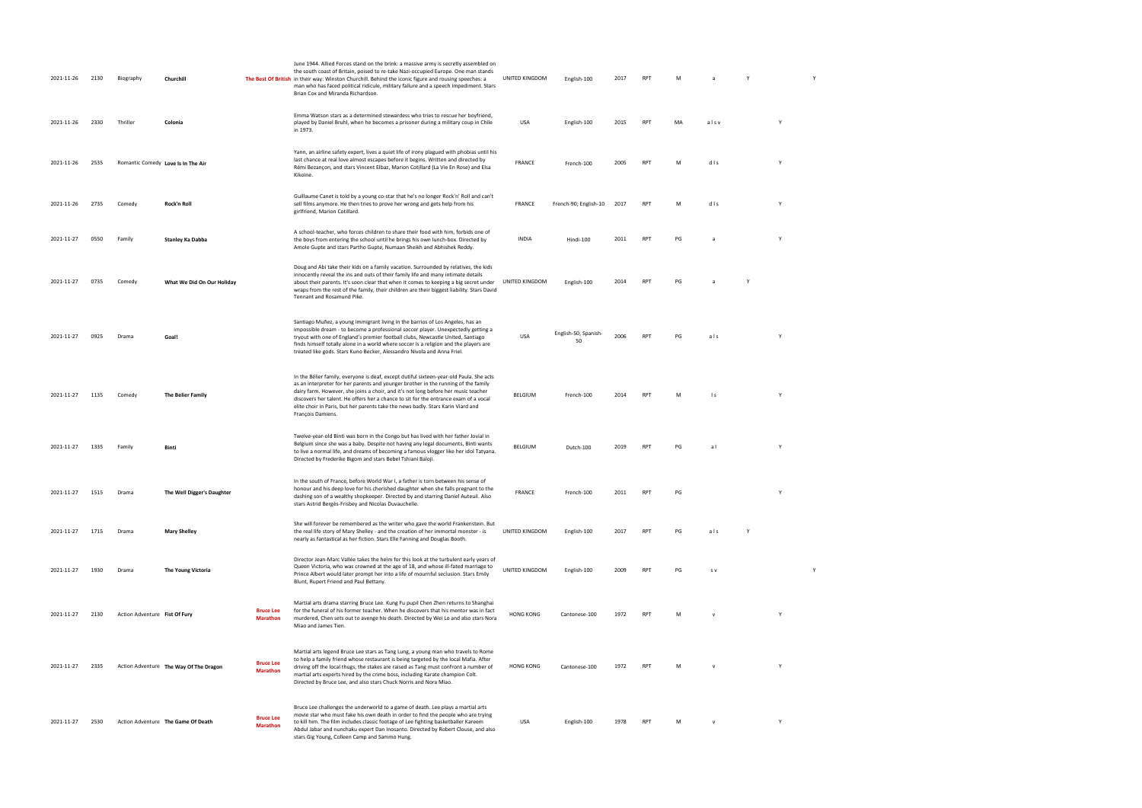| 2021-11-26 | 2130 | Biography                     | Churchill                              |                                     | June 1944. Allied Forces stand on the brink: a massive army is secretly assembled on<br>the south coast of Britain, poised to re-take Nazi-occupied Europe. One man stands<br>The Best Of British in their way: Winston Churchill. Behind the iconic figure and rousing speeches: a<br>man who has faced political ridicule, military failure and a speech impediment. Stars<br>Brian Cox and Miranda Richardson.                                                    | UNITED KINGDOM   | English-100                | 2017 | RPT        | M  |              |   |   | Y |  |
|------------|------|-------------------------------|----------------------------------------|-------------------------------------|----------------------------------------------------------------------------------------------------------------------------------------------------------------------------------------------------------------------------------------------------------------------------------------------------------------------------------------------------------------------------------------------------------------------------------------------------------------------|------------------|----------------------------|------|------------|----|--------------|---|---|---|--|
| 2021-11-26 | 2330 | Thriller                      | Colonia                                |                                     | Emma Watson stars as a determined stewardess who tries to rescue her boyfriend,<br>played by Daniel Bruhl, when he becomes a prisoner during a military coup in Chile<br>in 1973.                                                                                                                                                                                                                                                                                    | USA              | English-100                | 2015 | <b>RPT</b> | MA | alsv         |   | Y |   |  |
| 2021-11-26 | 2535 |                               | Romantic Comedy Love Is In The Air     |                                     | Yann, an airline safety expert, lives a quiet life of irony plagued with phobias until his<br>last chance at real love almost escapes before it begins. Written and directed by<br>Rémi Bezançon, and stars Vincent Elbaz, Marion Cotillard (La Vie En Rose) and Elsa<br>Kikoïne.                                                                                                                                                                                    | <b>FRANCE</b>    | French-100                 | 2005 | <b>RPT</b> | M  | dis          |   | Y |   |  |
| 2021-11-26 | 2735 | Comedy                        | Rock'n Roll                            |                                     | Guillaume Canet is told by a young co-star that he's no longer Rock'n' Roll and can't<br>sell films anymore. He then tries to prove her wrong and gets help from his<br>girlfriend, Marion Cotillard.                                                                                                                                                                                                                                                                | <b>FRANCE</b>    | French-90; English-10      | 2017 | RPT        | M  | dis          |   | Y |   |  |
| 2021-11-27 | 0550 | Family                        | <b>Stanley Ka Dabba</b>                |                                     | A school-teacher, who forces children to share their food with him, forbids one of<br>the boys from entering the school until he brings his own lunch-box. Directed by<br>Amole Gupte and stars Partho Gupte, Numaan Sheikh and Abhishek Reddy.                                                                                                                                                                                                                      | INDIA            | Hindi-100                  | 2011 | <b>RPT</b> | PG | a.           |   | Y |   |  |
| 2021-11-27 | 0735 | Comedy                        | What We Did On Our Holiday             |                                     | Doug and Abi take their kids on a family vacation. Surrounded by relatives, the kids<br>innocently reveal the ins and outs of their family life and many intimate details<br>about their parents. It's soon clear that when it comes to keeping a big secret under<br>wraps from the rest of the family, their children are their biggest liability. Stars David<br>Tennant and Rosamund Pike.                                                                       | UNITED KINGDOM   | English-100                | 2014 | <b>RPT</b> | PG |              | Y |   |   |  |
| 2021-11-27 | 0925 | Drama                         | Goal!                                  |                                     | Santiago Muñez, a young immigrant living in the barrios of Los Angeles, has an<br>impossible dream - to become a professional soccer player. Unexpectedly getting a<br>tryout with one of England's premier football clubs, Newcastle United, Santiago<br>finds himself totally alone in a world where soccer is a religion and the players are<br>treated like gods. Stars Kuno Becker, Alessandro Nivola and Anna Friel.                                           | <b>USA</b>       | English-50; Spanish-<br>50 | 2006 | <b>RPT</b> | PG | als          |   | Y |   |  |
| 2021-11-27 | 1135 | Comedy                        | The Belier Family                      |                                     | In the Bélier family, everyone is deaf, except dutiful sixteen-year-old Paula. She acts<br>as an interpreter for her parents and younger brother in the running of the family<br>dairy farm. However, she joins a choir, and it's not long before her music teacher<br>discovers her talent. He offers her a chance to sit for the entrance exam of a vocal<br>elite choir in Paris, but her parents take the news badly. Stars Karin Viard and<br>François Damiens. | BELGIUM          | French-100                 | 2014 | RPT        | M  | $\mathsf{I}$ |   | Y |   |  |
| 2021-11-27 | 1335 | Family                        | Binti                                  |                                     | Twelve-year-old Binti was born in the Congo but has lived with her father Jovial in<br>Belgium since she was a baby. Despite not having any legal documents, Binti wants<br>to live a normal life, and dreams of becoming a famous vlogger like her idol Tatyana.<br>Directed by Frederike Bigom and stars Bebel Tshiani Baloji.                                                                                                                                     | BELGIUM          | Dutch-100                  | 2019 | <b>RPT</b> | PG | a l          |   | Y |   |  |
| 2021-11-27 | 1515 | Drama                         | The Well Digger's Daughter             |                                     | In the south of France, before World War I, a father is torn between his sense of<br>honour and his deep love for his cherished daughter when she falls pregnant to the<br>dashing son of a wealthy shopkeeper. Directed by and starring Daniel Auteuil. Also<br>stars Astrid Bergès-Frisbey and Nicolas Duvauchelle.                                                                                                                                                | <b>FRANCE</b>    | French-100                 | 2011 | RPT        | PG |              |   | Y |   |  |
| 2021-11-27 | 1715 | Drama                         | <b>Mary Shelley</b>                    |                                     | She will forever be remembered as the writer who gave the world Frankenstein. But<br>the real life story of Mary Shelley - and the creation of her immortal monster - is<br>nearly as fantastical as her fiction. Stars Elle Fanning and Douglas Booth.                                                                                                                                                                                                              | UNITED KINGDOM   | English-100                | 2017 | <b>RPT</b> | PG | als          | Y |   |   |  |
| 2021-11-27 | 1930 | Drama                         | The Young Victoria                     |                                     | Director Jean-Marc Vallée takes the helm for this look at the turbulent early years of<br>Queen Victoria, who was crowned at the age of 18, and whose ill-fated marriage to<br>Prince Albert would later prompt her into a life of mournful seclusion. Stars Emily<br>Blunt, Rupert Friend and Paul Bettany.                                                                                                                                                         | UNITED KINGDOM   | English-100                | 2009 | <b>RPT</b> | PG | S V          |   |   | Y |  |
| 2021-11-27 | 2130 | Action Adventure Fist Of Fury |                                        | <b>Bruce Lee</b><br><b>Marathon</b> | Martial arts drama starring Bruce Lee. Kung Fu pupil Chen Zhen returns to Shanghai<br>for the funeral of his former teacher. When he discovers that his mentor was in fact<br>murdered, Chen sets out to avenge his death. Directed by Wei Lo and also stars Nora<br>Miao and James Tien.                                                                                                                                                                            | <b>HONG KONG</b> | Cantonese-100              | 1972 | RPT        | M  |              |   |   |   |  |
| 2021-11-27 | 2335 |                               | Action Adventure The Way Of The Dragon | <b>Bruce Lee</b><br><b>Marathon</b> | Martial arts legend Bruce Lee stars as Tang Lung, a young man who travels to Rome<br>to help a family friend whose restaurant is being targeted by the local Mafia. After<br>driving off the local thugs, the stakes are raised as Tang must confront a number of<br>martial arts experts hired by the crime boss, including Karate champion Colt.<br>Directed by Bruce Lee, and also stars Chuck Norris and Nora Miao.                                              | <b>HONG KONG</b> | Cantonese-100              | 1972 | <b>RPT</b> | M  |              |   | Y |   |  |
| 2021-11-27 | 2530 |                               | Action Adventure The Game Of Death     | <b>Bruce Lee</b><br><b>Marathon</b> | Bruce Lee challenges the underworld to a game of death. Lee plays a martial arts<br>movie star who must fake his own death in order to find the people who are trying<br>to kill him. The film includes classic footage of Lee fighting basketballer Kareem<br>Abdul Jabar and nunchaku expert Dan Inosanto. Directed by Robert Clouse, and also<br>stars Gig Young, Colleen Camp and Sammo Hung.                                                                    | USA              | English-100                | 1978 | <b>RPT</b> | M  | $\mathsf{v}$ |   | Y |   |  |